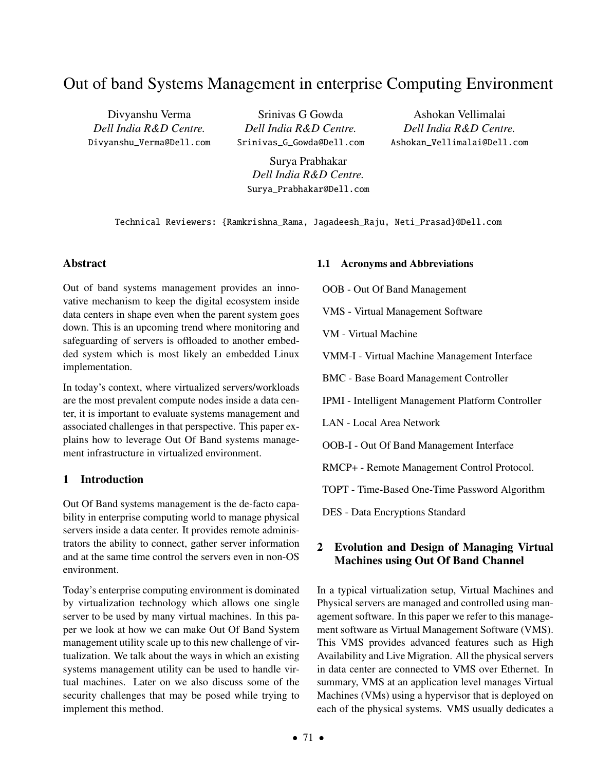# Out of band Systems Management in enterprise Computing Environment

Divyanshu Verma *Dell India R&D Centre.* Divyanshu\_Verma@Dell.com

Srinivas G Gowda *Dell India R&D Centre.* Srinivas\_G\_Gowda@Dell.com

Ashokan Vellimalai *Dell India R&D Centre.* Ashokan\_Vellimalai@Dell.com

Surya Prabhakar *Dell India R&D Centre.* Surya\_Prabhakar@Dell.com

Technical Reviewers: {Ramkrishna\_Rama, Jagadeesh\_Raju, Neti\_Prasad}@Dell.com

#### Abstract

Out of band systems management provides an innovative mechanism to keep the digital ecosystem inside data centers in shape even when the parent system goes down. This is an upcoming trend where monitoring and safeguarding of servers is offloaded to another embedded system which is most likely an embedded Linux implementation.

In today's context, where virtualized servers/workloads are the most prevalent compute nodes inside a data center, it is important to evaluate systems management and associated challenges in that perspective. This paper explains how to leverage Out Of Band systems management infrastructure in virtualized environment.

## 1 Introduction

Out Of Band systems management is the de-facto capability in enterprise computing world to manage physical servers inside a data center. It provides remote administrators the ability to connect, gather server information and at the same time control the servers even in non-OS environment.

Today's enterprise computing environment is dominated by virtualization technology which allows one single server to be used by many virtual machines. In this paper we look at how we can make Out Of Band System management utility scale up to this new challenge of virtualization. We talk about the ways in which an existing systems management utility can be used to handle virtual machines. Later on we also discuss some of the security challenges that may be posed while trying to implement this method.

#### 1.1 Acronyms and Abbreviations

OOB - Out Of Band Management

VMS - Virtual Management Software

VM - Virtual Machine

VMM-I - Virtual Machine Management Interface

BMC - Base Board Management Controller

IPMI - Intelligent Management Platform Controller

LAN - Local Area Network

OOB-I - Out Of Band Management Interface

RMCP+ - Remote Management Control Protocol.

TOPT - Time-Based One-Time Password Algorithm

DES - Data Encryptions Standard

# 2 Evolution and Design of Managing Virtual Machines using Out Of Band Channel

In a typical virtualization setup, Virtual Machines and Physical servers are managed and controlled using management software. In this paper we refer to this management software as Virtual Management Software (VMS). This VMS provides advanced features such as High Availability and Live Migration. All the physical servers in data center are connected to VMS over Ethernet. In summary, VMS at an application level manages Virtual Machines (VMs) using a hypervisor that is deployed on each of the physical systems. VMS usually dedicates a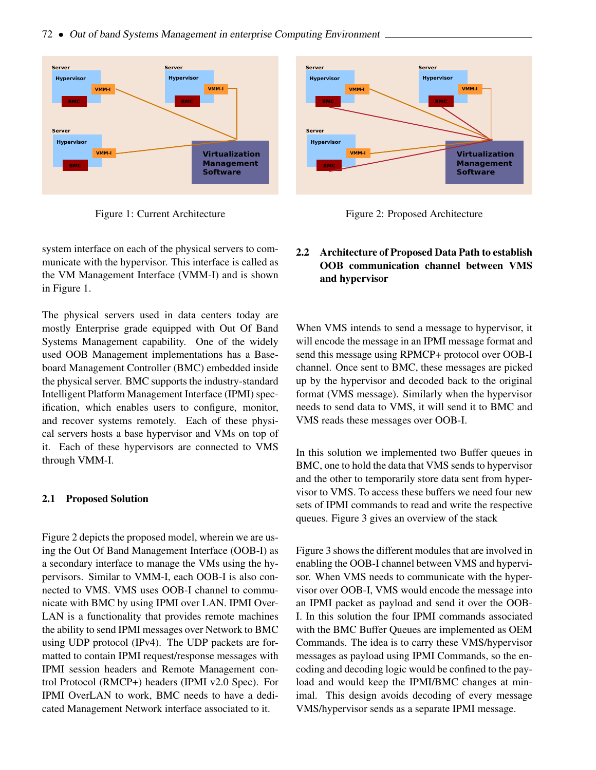

<span id="page-1-0"></span>Figure 1: Current Architecture



<span id="page-1-1"></span>Figure 2: Proposed Architecture

system interface on each of the physical servers to communicate with the hypervisor. This interface is called as the VM Management Interface (VMM-I) and is shown in Figure [1.](#page-1-0)

The physical servers used in data centers today are mostly Enterprise grade equipped with Out Of Band Systems Management capability. One of the widely used OOB Management implementations has a Baseboard Management Controller (BMC) embedded inside the physical server. BMC supports the industry-standard Intelligent Platform Management Interface (IPMI) specification, which enables users to configure, monitor, and recover systems remotely. Each of these physical servers hosts a base hypervisor and VMs on top of it. Each of these hypervisors are connected to VMS through VMM-I.

#### 2.1 Proposed Solution

Figure [2](#page-1-1) depicts the proposed model, wherein we are using the Out Of Band Management Interface (OOB-I) as a secondary interface to manage the VMs using the hypervisors. Similar to VMM-I, each OOB-I is also connected to VMS. VMS uses OOB-I channel to communicate with BMC by using IPMI over LAN. IPMI Over-LAN is a functionality that provides remote machines the ability to send IPMI messages over Network to BMC using UDP protocol (IPv4). The UDP packets are formatted to contain IPMI request/response messages with IPMI session headers and Remote Management control Protocol (RMCP+) headers (IPMI v2.0 Spec). For IPMI OverLAN to work, BMC needs to have a dedicated Management Network interface associated to it.

## 2.2 Architecture of Proposed Data Path to establish OOB communication channel between VMS and hypervisor

When VMS intends to send a message to hypervisor, it will encode the message in an IPMI message format and send this message using RPMCP+ protocol over OOB-I channel. Once sent to BMC, these messages are picked up by the hypervisor and decoded back to the original format (VMS message). Similarly when the hypervisor needs to send data to VMS, it will send it to BMC and VMS reads these messages over OOB-I.

In this solution we implemented two Buffer queues in BMC, one to hold the data that VMS sends to hypervisor and the other to temporarily store data sent from hypervisor to VMS. To access these buffers we need four new sets of IPMI commands to read and write the respective queues. Figure [3](#page-2-0) gives an overview of the stack

Figure [3](#page-2-0) shows the different modules that are involved in enabling the OOB-I channel between VMS and hypervisor. When VMS needs to communicate with the hypervisor over OOB-I, VMS would encode the message into an IPMI packet as payload and send it over the OOB-I. In this solution the four IPMI commands associated with the BMC Buffer Queues are implemented as OEM Commands. The idea is to carry these VMS/hypervisor messages as payload using IPMI Commands, so the encoding and decoding logic would be confined to the payload and would keep the IPMI/BMC changes at minimal. This design avoids decoding of every message VMS/hypervisor sends as a separate IPMI message.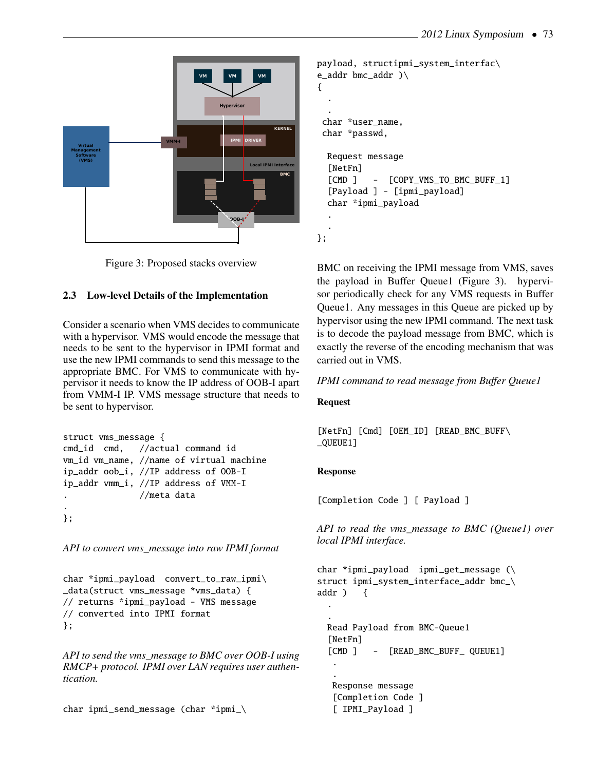

<span id="page-2-0"></span>Figure 3: Proposed stacks overview

# 2.3 Low-level Details of the Implementation

Consider a scenario when VMS decides to communicate with a hypervisor. VMS would encode the message that needs to be sent to the hypervisor in IPMI format and use the new IPMI commands to send this message to the appropriate BMC. For VMS to communicate with hypervisor it needs to know the IP address of OOB-I apart from VMM-I IP. VMS message structure that needs to be sent to hypervisor.

```
struct vms_message {
cmd_id cmd, //actual command id
vm_id vm_name, //name of virtual machine
ip_addr oob_i, //IP address of OOB-I
ip_addr vmm_i, //IP address of VMM-I
. //meta data
.
};
```
*API to convert vms\_message into raw IPMI format*

char \*ipmi\_payload convert\_to\_raw\_ipmi\ \_data(struct vms\_message \*vms\_data) { // returns \*ipmi\_payload - VMS message // converted into IPMI format };

*API to send the vms\_message to BMC over OOB-I using RMCP+ protocol. IPMI over LAN requires user authentication.*

```
char ipmi_send_message (char *ipmi_\
```

```
payload, structipmi_system_interfac\
e_addr bmc_addr )\
{
  .
  .
char *user_name,
char *passwd,
 Request message
  [NetFn]
  [CMD ] - [COPY_VMS_TO_BMC_BUFF_1]
  [Payload ] - [ipmi_payload]
  char *ipmi_payload
  .
  .
};
```
BMC on receiving the IPMI message from VMS, saves the payload in Buffer Queue1 (Figure [3\)](#page-2-0). hypervisor periodically check for any VMS requests in Buffer Queue1. Any messages in this Queue are picked up by hypervisor using the new IPMI command. The next task is to decode the payload message from BMC, which is exactly the reverse of the encoding mechanism that was carried out in VMS.

## *IPMI command to read message from Buffer Queue1*

#### Request

[NetFn] [Cmd] [OEM\_ID] [READ\_BMC\_BUFF\ \_QUEUE1]

## Response

[Completion Code ] [ Payload ]

*API to read the vms\_message to BMC (Queue1) over local IPMI interface.*

```
char *ipmi_payload ipmi_get_message (\
struct ipmi_system_interface_addr bmc_\
addr ) {
  .
  .
 Read Payload from BMC-Queue1
  [NetFn]
  [CMD ] - [READ_BMC_BUFF_ QUEUE1]
   .
   .
  Response message
   [Completion Code ]
   [ IPMI_Payload ]
```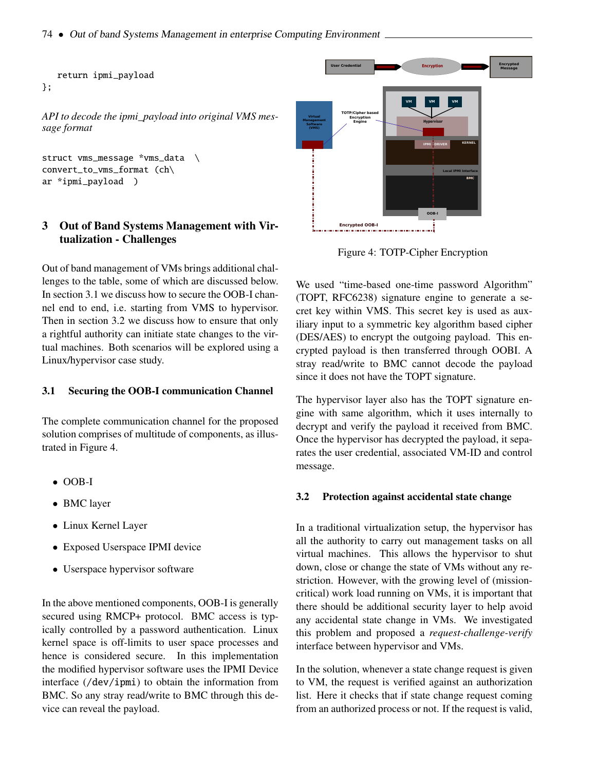```
return ipmi_payload
};
```
*API to decode the ipmi\_payload into original VMS message format*

```
struct vms_message *vms_data \
convert_to_vms_format (ch\
ar *ipmi_payload )
```
## 3 Out of Band Systems Management with Virtualization - Challenges

Out of band management of VMs brings additional challenges to the table, some of which are discussed below. In section [3.1](#page-3-0) we discuss how to secure the OOB-I channel end to end, i.e. starting from VMS to hypervisor. Then in section [3.2](#page-3-1) we discuss how to ensure that only a rightful authority can initiate state changes to the virtual machines. Both scenarios will be explored using a Linux/hypervisor case study.

#### <span id="page-3-0"></span>3.1 Securing the OOB-I communication Channel

The complete communication channel for the proposed solution comprises of multitude of components, as illustrated in Figure [4.](#page-3-2)

- OOB-I
- BMC layer
- Linux Kernel Layer
- Exposed Userspace IPMI device
- Userspace hypervisor software

In the above mentioned components, OOB-I is generally secured using RMCP+ protocol. BMC access is typically controlled by a password authentication. Linux kernel space is off-limits to user space processes and hence is considered secure. In this implementation the modified hypervisor software uses the IPMI Device interface (/dev/ipmi) to obtain the information from BMC. So any stray read/write to BMC through this device can reveal the payload.



<span id="page-3-2"></span>Figure 4: TOTP-Cipher Encryption

We used "time-based one-time password Algorithm" (TOPT, RFC6238) signature engine to generate a secret key within VMS. This secret key is used as auxiliary input to a symmetric key algorithm based cipher (DES/AES) to encrypt the outgoing payload. This encrypted payload is then transferred through OOBI. A stray read/write to BMC cannot decode the payload since it does not have the TOPT signature.

The hypervisor layer also has the TOPT signature engine with same algorithm, which it uses internally to decrypt and verify the payload it received from BMC. Once the hypervisor has decrypted the payload, it separates the user credential, associated VM-ID and control message.

#### <span id="page-3-1"></span>3.2 Protection against accidental state change

In a traditional virtualization setup, the hypervisor has all the authority to carry out management tasks on all virtual machines. This allows the hypervisor to shut down, close or change the state of VMs without any restriction. However, with the growing level of (missioncritical) work load running on VMs, it is important that there should be additional security layer to help avoid any accidental state change in VMs. We investigated this problem and proposed a *request-challenge-verify* interface between hypervisor and VMs.

In the solution, whenever a state change request is given to VM, the request is verified against an authorization list. Here it checks that if state change request coming from an authorized process or not. If the request is valid,